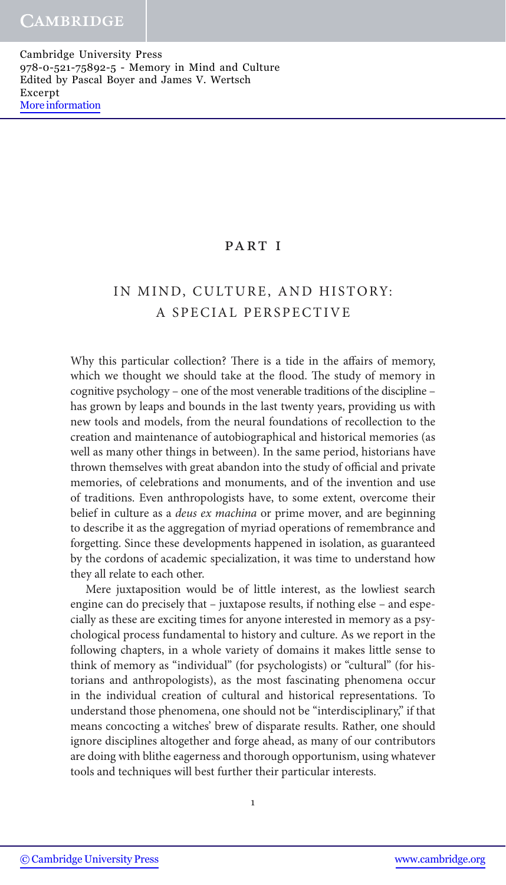## PART I

## IN MIND, CULTURE, AND HISTORY: A SPECIAL PERSPECTIVE

Why this particular collection? There is a tide in the affairs of memory, which we thought we should take at the flood. The study of memory in cognitive psychology – one of the most venerable traditions of the discipline – has grown by leaps and bounds in the last twenty years, providing us with new tools and models, from the neural foundations of recollection to the creation and maintenance of autobiographical and historical memories (as well as many other things in between). In the same period, historians have thrown themselves with great abandon into the study of official and private memories, of celebrations and monuments, and of the invention and use of traditions. Even anthropologists have, to some extent, overcome their belief in culture as a *deus ex machina* or prime mover, and are beginning to describe it as the aggregation of myriad operations of remembrance and forgetting. Since these developments happened in isolation, as guaranteed by the cordons of academic specialization, it was time to understand how they all relate to each other.

Mere juxtaposition would be of little interest, as the lowliest search engine can do precisely that – juxtapose results, if nothing else – and especially as these are exciting times for anyone interested in memory as a psychological process fundamental to history and culture. As we report in the following chapters, in a whole variety of domains it makes little sense to think of memory as "individual" (for psychologists) or "cultural" (for historians and anthropologists), as the most fascinating phenomena occur in the individual creation of cultural and historical representations. To understand those phenomena, one should not be "interdisciplinary," if that means concocting a witches' brew of disparate results. Rather, one should ignore disciplines altogether and forge ahead, as many of our contributors are doing with blithe eagerness and thorough opportunism, using whatever tools and techniques will best further their particular interests.

1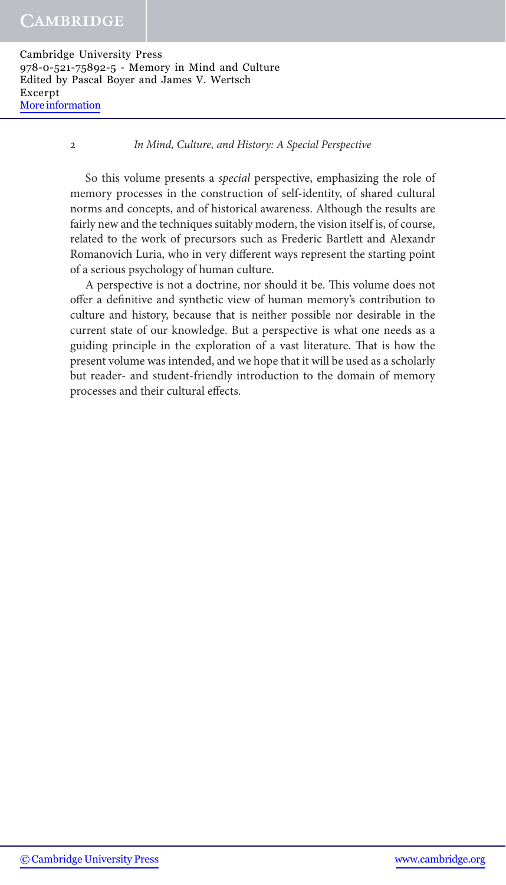2 *In Mind, Culture, and History: A Special Perspective*

So this volume presents a *special* perspective, emphasizing the role of memory processes in the construction of self-identity, of shared cultural norms and concepts, and of historical awareness. Although the results are fairly new and the techniques suitably modern, the vision itself is, of course, related to the work of precursors such as Frederic Bartlett and Alexandr Romanovich Luria, who in very different ways represent the starting point of a serious psychology of human culture.

A perspective is not a doctrine, nor should it be. This volume does not offer a definitive and synthetic view of human memory's contribution to culture and history, because that is neither possible nor desirable in the current state of our knowledge. But a perspective is what one needs as a guiding principle in the exploration of a vast literature. That is how the present volume was intended, and we hope that it will be used as a scholarly but reader- and student-friendly introduction to the domain of memory processes and their cultural effects.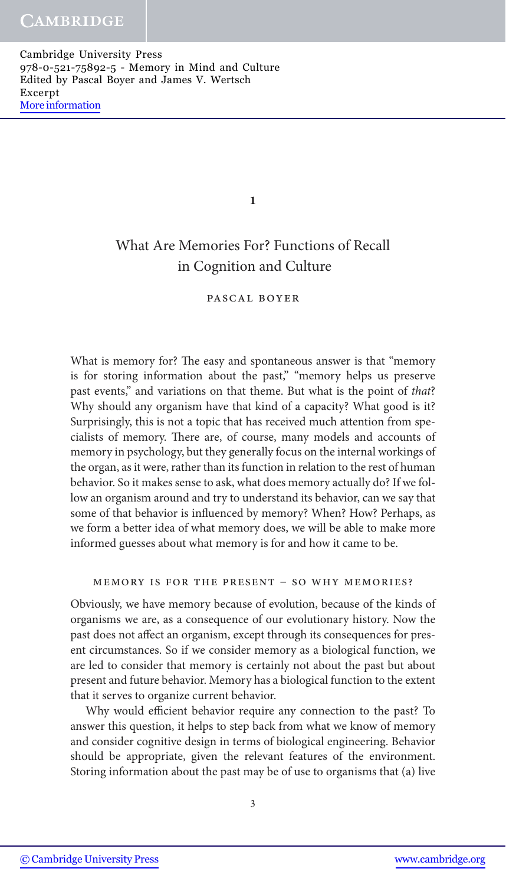**1**

# What Are Memories For? Functions of Recall in Cognition and Culture

## Pascal Boyer

What is memory for? The easy and spontaneous answer is that "memory is for storing information about the past," "memory helps us preserve past events," and variations on that theme. But what is the point of *that*? Why should any organism have that kind of a capacity? What good is it? Surprisingly, this is not a topic that has received much attention from specialists of memory. There are, of course, many models and accounts of memory in psychology, but they generally focus on the internal workings of the organ, as it were, rather than its function in relation to the rest of human behavior. So it makes sense to ask, what does memory actually do? If we follow an organism around and try to understand its behavior, can we say that some of that behavior is influenced by memory? When? How? Perhaps, as we form a better idea of what memory does, we will be able to make more informed guesses about what memory is for and how it came to be.

## Memory Is for the Present – So Why Memories?

Obviously, we have memory because of evolution, because of the kinds of organisms we are, as a consequence of our evolutionary history. Now the past does not affect an organism, except through its consequences for present circumstances. So if we consider memory as a biological function, we are led to consider that memory is certainly not about the past but about present and future behavior. Memory has a biological function to the extent that it serves to organize current behavior.

Why would efficient behavior require any connection to the past? To answer this question, it helps to step back from what we know of memory and consider cognitive design in terms of biological engineering. Behavior should be appropriate, given the relevant features of the environment. Storing information about the past may be of use to organisms that (a) live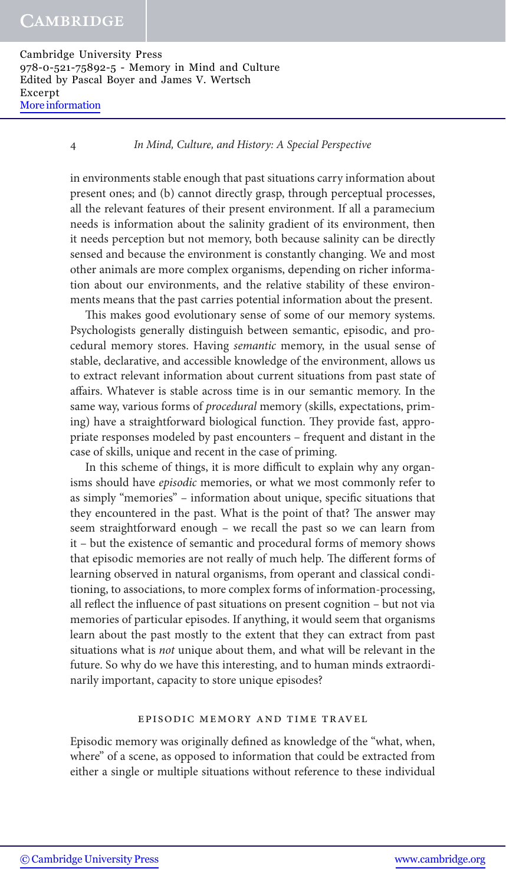4 *In Mind, Culture, and History: A Special Perspective*

in environments stable enough that past situations carry information about present ones; and (b) cannot directly grasp, through perceptual processes, all the relevant features of their present environment. If all a paramecium needs is information about the salinity gradient of its environment, then it needs perception but not memory, both because salinity can be directly sensed and because the environment is constantly changing. We and most other animals are more complex organisms, depending on richer information about our environments, and the relative stability of these environments means that the past carries potential information about the present.

This makes good evolutionary sense of some of our memory systems. Psychologists generally distinguish between semantic, episodic, and procedural memory stores. Having *semantic* memory, in the usual sense of stable, declarative, and accessible knowledge of the environment, allows us to extract relevant information about current situations from past state of affairs. Whatever is stable across time is in our semantic memory. In the same way, various forms of *procedural* memory (skills, expectations, priming) have a straightforward biological function. They provide fast, appropriate responses modeled by past encounters – frequent and distant in the case of skills, unique and recent in the case of priming.

In this scheme of things, it is more difficult to explain why any organisms should have *episodic* memories, or what we most commonly refer to as simply "memories" – information about unique, specific situations that they encountered in the past. What is the point of that? The answer may seem straightforward enough – we recall the past so we can learn from it – but the existence of semantic and procedural forms of memory shows that episodic memories are not really of much help. The different forms of learning observed in natural organisms, from operant and classical conditioning, to associations, to more complex forms of information-processing, all reflect the influence of past situations on present cognition – but not via memories of particular episodes. If anything, it would seem that organisms learn about the past mostly to the extent that they can extract from past situations what is *not* unique about them, and what will be relevant in the future. So why do we have this interesting, and to human minds extraordinarily important, capacity to store unique episodes?

## Episodic Memory and Time Travel

Episodic memory was originally defined as knowledge of the "what, when, where" of a scene, as opposed to information that could be extracted from either a single or multiple situations without reference to these individual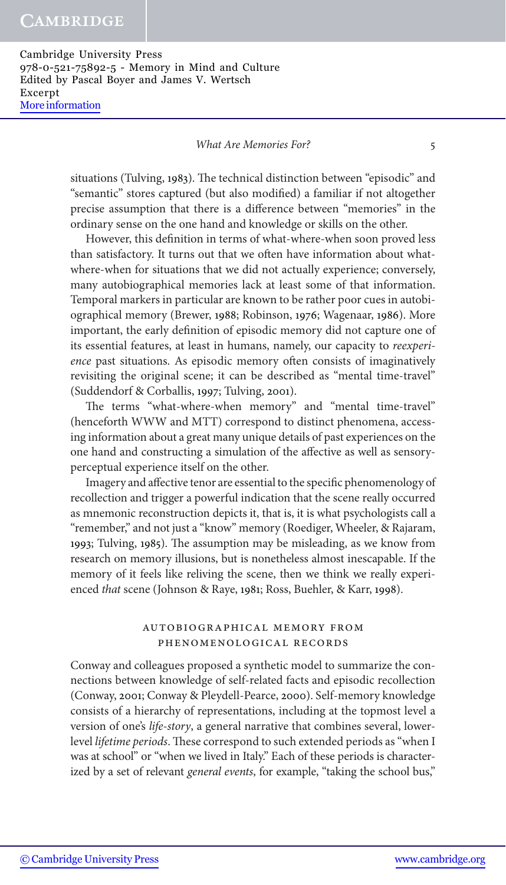#### *What Are Memories For?* 5

situations (Tulving, 1983). The technical distinction between "episodic" and "semantic" stores captured (but also modified) a familiar if not altogether precise assumption that there is a difference between "memories" in the ordinary sense on the one hand and knowledge or skills on the other.

However, this definition in terms of what-where-when soon proved less than satisfactory. It turns out that we often have information about whatwhere-when for situations that we did not actually experience; conversely, many autobiographical memories lack at least some of that information. Temporal markers in particular are known to be rather poor cues in autobiographical memory (Brewer, 1988; Robinson, 1976; Wagenaar, 1986). More important, the early definition of episodic memory did not capture one of its essential features, at least in humans, namely, our capacity to *reexperience* past situations. As episodic memory often consists of imaginatively revisiting the original scene; it can be described as "mental time-travel" (Suddendorf & Corballis, 1997; Tulving, 2001).

The terms "what-where-when memory" and "mental time-travel" (henceforth WWW and MTT) correspond to distinct phenomena, accessing information about a great many unique details of past experiences on the one hand and constructing a simulation of the affective as well as sensoryperceptual experience itself on the other.

Imagery and affective tenor are essential to the specific phenomenology of recollection and trigger a powerful indication that the scene really occurred as mnemonic reconstruction depicts it, that is, it is what psychologists call a "remember," and not just a "know" memory (Roediger, Wheeler, & Rajaram, 1993; Tulving, 1985). The assumption may be misleading, as we know from research on memory illusions, but is nonetheless almost inescapable. If the memory of it feels like reliving the scene, then we think we really experienced *that* scene (Johnson & Raye, 1981; Ross, Buehler, & Karr, 1998).

## Autobiographical Memory from Phenomenological Records

Conway and colleagues proposed a synthetic model to summarize the connections between knowledge of self-related facts and episodic recollection (Conway, 2001; Conway & Pleydell-Pearce, 2000). Self-memory knowledge consists of a hierarchy of representations, including at the topmost level a version of one's *life-story*, a general narrative that combines several, lowerlevel *lifetime periods*. These correspond to such extended periods as "when I was at school" or "when we lived in Italy." Each of these periods is characterized by a set of relevant *general events*, for example, "taking the school bus,"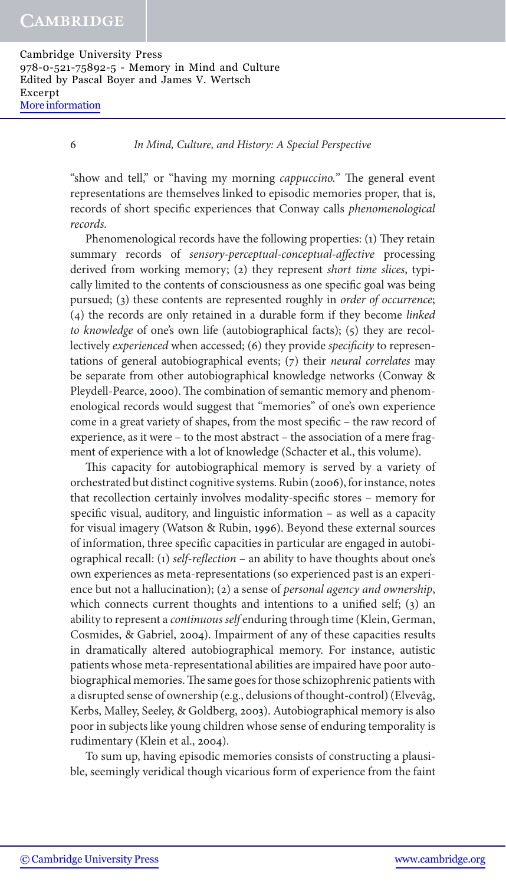6 *In Mind, Culture, and History: A Special Perspective*

"show and tell," or "having my morning *cappuccino.*" The general event representations are themselves linked to episodic memories proper, that is, records of short specific experiences that Conway calls *phenomenological records.*

Phenomenological records have the following properties: (1) They retain summary records of *sensory-perceptual-conceptual-affective* processing derived from working memory; (2) they represent *short time slices*, typically limited to the contents of consciousness as one specific goal was being pursued; (3) these contents are represented roughly in *order of occurrence*; (4) the records are only retained in a durable form if they become *linked to knowledge* of one's own life (autobiographical facts); (5) they are recollectively *experienced* when accessed; (6) they provide *specificity* to representations of general autobiographical events; (7) their *neural correlates* may be separate from other autobiographical knowledge networks (Conway & Pleydell-Pearce, 2000). The combination of semantic memory and phenomenological records would suggest that "memories" of one's own experience come in a great variety of shapes, from the most specific – the raw record of experience, as it were – to the most abstract – the association of a mere fragment of experience with a lot of knowledge (Schacter et al., this volume).

This capacity for autobiographical memory is served by a variety of orchestrated but distinct cognitive systems. Rubin (2006), for instance, notes that recollection certainly involves modality-specific stores – memory for specific visual, auditory, and linguistic information – as well as a capacity for visual imagery (Watson & Rubin, 1996). Beyond these external sources of information, three specific capacities in particular are engaged in autobiographical recall: (1) *self-reflection* – an ability to have thoughts about one's own experiences as meta-representations (so experienced past is an experience but not a hallucination); (2) a sense of *personal agency and ownership*, which connects current thoughts and intentions to a unified self; (3) an ability to represent a *continuous self* enduring through time (Klein, German, Cosmides, & Gabriel, 2004). Impairment of any of these capacities results in dramatically altered autobiographical memory. For instance, autistic patients whose meta-representational abilities are impaired have poor autobiographical memories. The same goes for those schizophrenic patients with a disrupted sense of ownership (e.g., delusions of thought- control) (Elvevåg, Kerbs, Malley, Seeley, & Goldberg, 2003). Autobiographical memory is also poor in subjects like young children whose sense of enduring temporality is rudimentary (Klein et al., 2004).

To sum up, having episodic memories consists of constructing a plausible, seemingly veridical though vicarious form of experience from the faint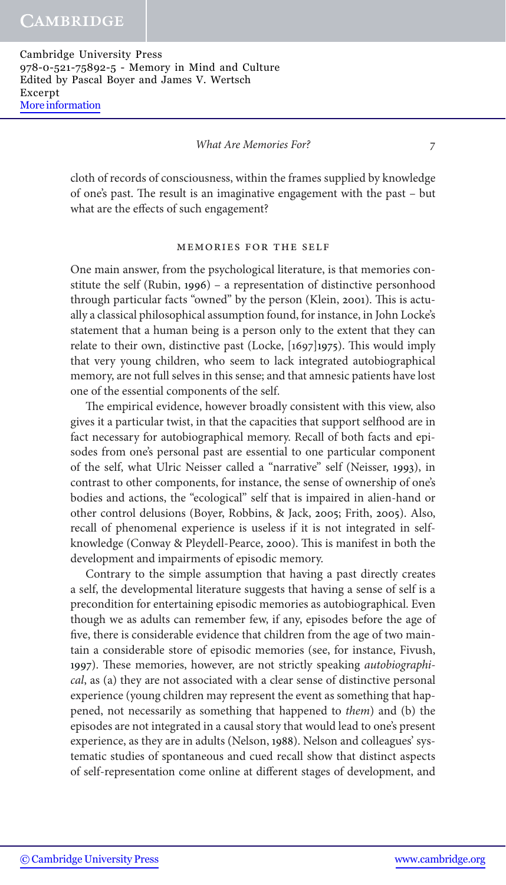*What Are Memories For?* 7

cloth of records of consciousness, within the frames supplied by knowledge of one's past. The result is an imaginative engagement with the past – but what are the effects of such engagement?

## Memories for the Self

One main answer, from the psychological literature, is that memories constitute the self (Rubin, 1996) – a representation of distinctive personhood through particular facts "owned" by the person (Klein, 2001). This is actually a classical philosophical assumption found, for instance, in John Locke's statement that a human being is a person only to the extent that they can relate to their own, distinctive past (Locke, [1697]1975). This would imply that very young children, who seem to lack integrated autobiographical memory, are not full selves in this sense; and that amnesic patients have lost one of the essential components of the self.

The empirical evidence, however broadly consistent with this view, also gives it a particular twist, in that the capacities that support selfhood are in fact necessary for autobiographical memory. Recall of both facts and episodes from one's personal past are essential to one particular component of the self, what Ulric Neisser called a "narrative" self (Neisser, 1993), in contrast to other components, for instance, the sense of ownership of one's bodies and actions, the "ecological" self that is impaired in alien-hand or other control delusions (Boyer, Robbins, & Jack, 2005; Frith, 2005). Also, recall of phenomenal experience is useless if it is not integrated in selfknowledge (Conway & Pleydell-Pearce, 2000). This is manifest in both the development and impairments of episodic memory.

Contrary to the simple assumption that having a past directly creates a self, the developmental literature suggests that having a sense of self is a precondition for entertaining episodic memories as autobiographical. Even though we as adults can remember few, if any, episodes before the age of five, there is considerable evidence that children from the age of two maintain a considerable store of episodic memories (see, for instance, Fivush, 1997). These memories, however, are not strictly speaking *autobiographical*, as (a) they are not associated with a clear sense of distinctive personal experience (young children may represent the event as something that happened, not necessarily as something that happened to *them*) and (b) the episodes are not integrated in a causal story that would lead to one's present experience, as they are in adults (Nelson, 1988). Nelson and colleagues' systematic studies of spontaneous and cued recall show that distinct aspects of self-representation come online at different stages of development, and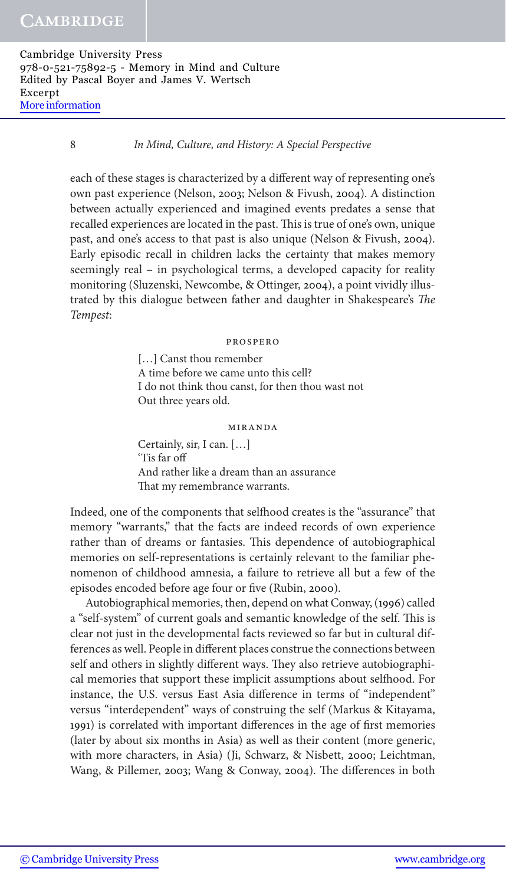8 *In Mind, Culture, and History: A Special Perspective*

each of these stages is characterized by a different way of representing one's own past experience (Nelson, 2003; Nelson & Fivush, 2004). A distinction between actually experienced and imagined events predates a sense that recalled experiences are located in the past. This is true of one's own, unique past, and one's access to that past is also unique (Nelson & Fivush, 2004). Early episodic recall in children lacks the certainty that makes memory seemingly real – in psychological terms, a developed capacity for reality monitoring (Sluzenski, Newcombe, & Ottinger, 2004), a point vividly illustrated by this dialogue between father and daughter in Shakespeare's *The Tempest*:

#### PROSPERO

[...] Canst thou remember A time before we came unto this cell? I do not think thou canst, for then thou wast not Out three years old.

#### MIRANDA

Certainly, sir, I can. […] 'Tis far off And rather like a dream than an assurance That my remembrance warrants.

Indeed, one of the components that selfhood creates is the "assurance" that memory "warrants," that the facts are indeed records of own experience rather than of dreams or fantasies. This dependence of autobiographical memories on self-representations is certainly relevant to the familiar phenomenon of childhood amnesia, a failure to retrieve all but a few of the episodes encoded before age four or five (Rubin, 2000).

Autobiographical memories, then, depend on what Conway, (1996) called a "self-system" of current goals and semantic knowledge of the self. This is clear not just in the developmental facts reviewed so far but in cultural differences as well. People in different places construe the connections between self and others in slightly different ways. They also retrieve autobiographical memories that support these implicit assumptions about selfhood. For instance, the U.S. versus East Asia difference in terms of "independent" versus "interdependent" ways of construing the self (Markus & Kitayama, 1991) is correlated with important differences in the age of first memories (later by about six months in Asia) as well as their content (more generic, with more characters, in Asia) (Ji, Schwarz, & Nisbett, 2000; Leichtman, Wang, & Pillemer, 2003; Wang & Conway, 2004). The differences in both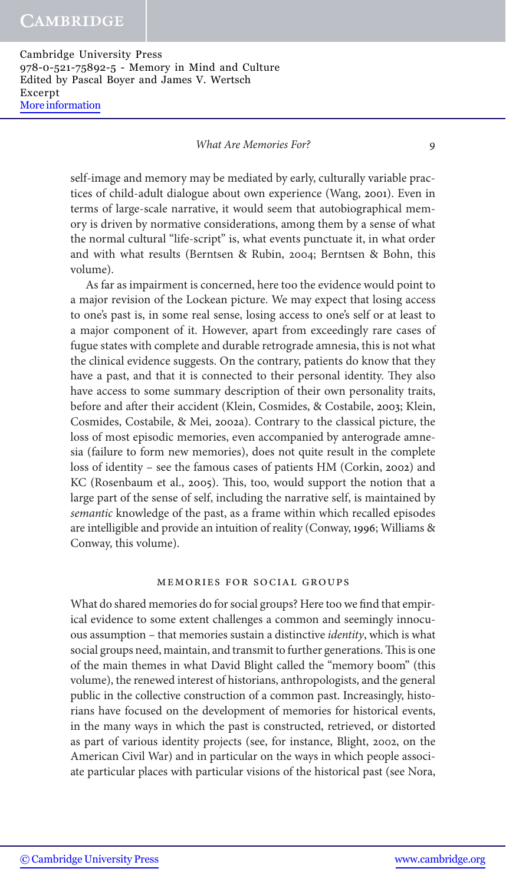*What Are Memories For?* 9

self-image and memory may be mediated by early, culturally variable practices of child-adult dialogue about own experience (Wang, 2001). Even in terms of large-scale narrative, it would seem that autobiographical memory is driven by normative considerations, among them by a sense of what the normal cultural "life-script" is, what events punctuate it, in what order and with what results (Berntsen & Rubin, 2004; Berntsen & Bohn, this volume).

As far as impairment is concerned, here too the evidence would point to a major revision of the Lockean picture. We may expect that losing access to one's past is, in some real sense, losing access to one's self or at least to a major component of it. However, apart from exceedingly rare cases of fugue states with complete and durable retrograde amnesia, this is not what the clinical evidence suggests. On the contrary, patients do know that they have a past, and that it is connected to their personal identity. They also have access to some summary description of their own personality traits, before and after their accident (Klein, Cosmides, & Costabile, 2003; Klein, Cosmides, Costabile, & Mei, 2002a). Contrary to the classical picture, the loss of most episodic memories, even accompanied by anterograde amnesia (failure to form new memories), does not quite result in the complete loss of identity – see the famous cases of patients HM (Corkin, 2002) and KC (Rosenbaum et al., 2005). This, too, would support the notion that a large part of the sense of self, including the narrative self, is maintained by *semantic* knowledge of the past, as a frame within which recalled episodes are intelligible and provide an intuition of reality (Conway, 1996; Williams & Conway, this volume).

## Memories for Social Groups

What do shared memories do for social groups? Here too we find that empirical evidence to some extent challenges a common and seemingly innocuous assumption – that memories sustain a distinctive *identity*, which is what social groups need, maintain, and transmit to further generations. This is one of the main themes in what David Blight called the "memory boom" (this volume), the renewed interest of historians, anthropologists, and the general public in the collective construction of a common past. Increasingly, historians have focused on the development of memories for historical events, in the many ways in which the past is constructed, retrieved, or distorted as part of various identity projects (see, for instance, Blight, 2002, on the American Civil War) and in particular on the ways in which people associate particular places with particular visions of the historical past (see Nora,